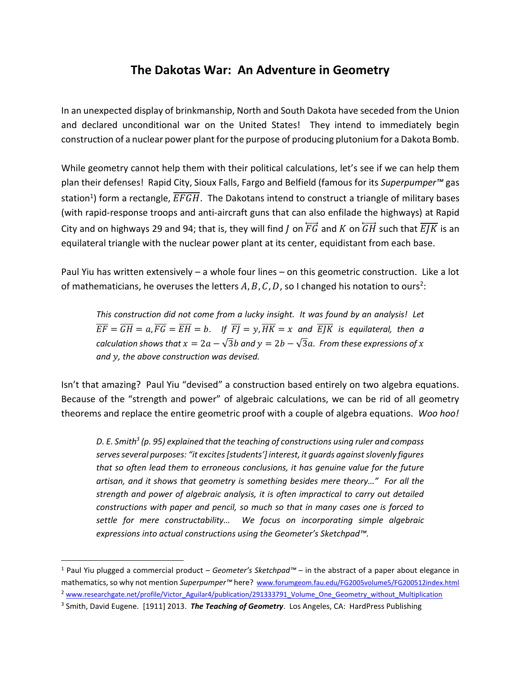# **The Dakotas War: An Adventure in Geometry**

In an unexpected display of brinkmanship, North and South Dakota have seceded from the Union and declared unconditional war on the United States! They intend to immediately begin construction of a nuclear power plant for the purpose of producing plutonium for a Dakota Bomb.

While geometry cannot help them with their political calculations, let's see if we can help them plan their defenses! Rapid City, Sioux Falls, Fargo and Belfield (famous for its *Superpumper™* gas station<sup>1</sup>) form a rectangle,  $EFGH$ . The Dakotans intend to construct a triangle of military bases (with rapid-response troops and anti-aircraft guns that can also enfilade the highways) at Rapid City and on highways 29 and 94; that is, they will find *I* on  $\overline{FG}$  and *K* on  $\overline{GH}$  such that  $\overline{E/K}$  is an equilateral triangle with the nuclear power plant at its center, equidistant from each base.

Paul Yiu has written extensively – a whole four lines – on this geometric construction. Like a lot of mathematicians, he overuses the letters  $A, B, C, D$ , so I changed his notation to ours<sup>2</sup>:

*This construction did not come from a lucky insight. It was found by an analysis! Let*   $\overline{EF} = \overline{GH} = a$ ,  $\overline{FG} = \overline{EH} = b$ . If  $\overline{F} = y$ ,  $\overline{HK} = x$  and  $\overline{E}$  *is equilateral, then a calculation shows that*  $x = 2a - \sqrt{3}b$  and  $y = 2b - \sqrt{3}a$ . From these expressions of x *and , the above construction was devised.*

Isn't that amazing? Paul Yiu "devised" a construction based entirely on two algebra equations. Because of the "strength and power" of algebraic calculations, we can be rid of all geometry theorems and replace the entire geometric proof with a couple of algebra equations. *Woo hoo!*

*D. E. Smith<sup>3</sup> (p. 95) explained that the teaching of constructions using ruler and compass serves several purposes: "it excites [students'] interest, it guards against slovenly figures that so often lead them to erroneous conclusions, it has genuine value for the future artisan, and it shows that geometry is something besides mere theory…" For all the strength and power of algebraic analysis, it is often impractical to carry out detailed constructions with paper and pencil, so much so that in many cases one is forced to settle for mere constructability… We focus on incorporating simple algebraic expressions into actual constructions using the Geometer's Sketchpad™.*

 $\overline{\phantom{a}}$ 

<sup>1</sup> Paul Yiu plugged a commercial product – *Geometer's Sketchpad™* – in the abstract of a paper about elegance in mathematics, so why not mention *Superpumper™* here? [www.forumgeom.fau.edu/FG2005volume5/FG200512index.html](http://www.forumgeom.fau.edu/FG2005volume5/FG200512index.html) <sup>2</sup> [www.researchgate.net/profile/Victor\\_Aguilar4/publication/291333791\\_Volume\\_One\\_Geometry\\_without\\_Multiplication](http://www.researchgate.net/profile/Victor_Aguilar4/publication/291333791_Volume_One_Geometry_without_Multiplication)

<sup>&</sup>lt;sup>3</sup> Smith, David Eugene. [1911] 2013. **The Teaching of Geometry**. Los Angeles, CA: HardPress Publishing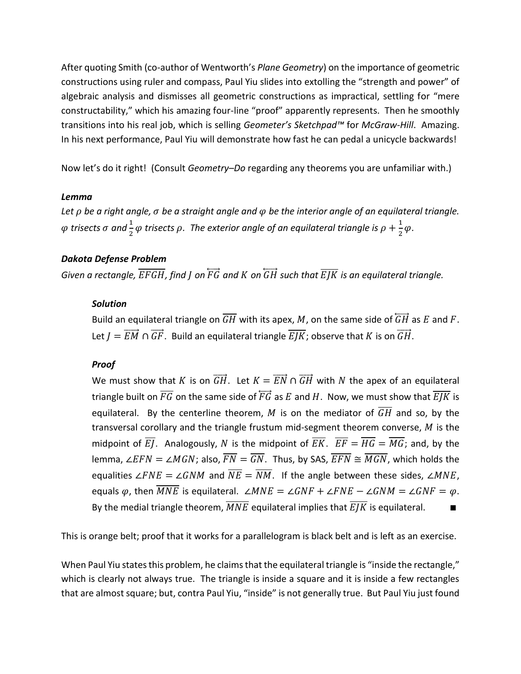After quoting Smith (co-author of Wentworth's *Plane Geometry*) on the importance of geometric constructions using ruler and compass, Paul Yiu slides into extolling the "strength and power" of algebraic analysis and dismisses all geometric constructions as impractical, settling for "mere constructability," which his amazing four-line "proof" apparently represents. Then he smoothly transitions into his real job, which is selling *Geometer's Sketchpad™* for *McGraw-Hill*. Amazing. In his next performance, Paul Yiu will demonstrate how fast he can pedal a unicycle backwards!

Now let's do it right! (Consult *Geometry–Do* regarding any theorems you are unfamiliar with.)

#### *Lemma*

*Let be a right angle, be a straight angle and be the interior angle of an equilateral triangle.*   $\varphi$  trisects  $\sigma$  and  $\frac{1}{2}\varphi$  trisects  $\rho$ . The exterior angle of an equilateral triangle is  $\rho+\frac{1}{2}$  $rac{1}{2}\varphi$ .

# *Dakota Defense Problem*

*Given a rectangle,*  $\overline{\text{EFGH}}$ *, find I on*  $\overline{\text{FG}}$  and *K* on  $\overline{\text{GH}}$  such that  $\overline{\text{EJK}}$  is an equilateral triangle.

### *Solution*

Build an equilateral triangle on  $\overline{GH}$  with its apex, M, on the same side of  $\overline{GH}$  as E and F. Let  $I = \overrightarrow{EM} \cap \overrightarrow{GF}$ . Build an equilateral triangle  $\overrightarrow{E/K}$ ; observe that K is on  $\overrightarrow{GH}$ .

# *Proof*

We must show that K is on  $\overrightarrow{GH}$ . Let  $K = \overrightarrow{EN} \cap \overrightarrow{GH}$  with N the apex of an equilateral triangle built on  $\overline{FG}$  on the same side of  $\overline{FG}$  as E and H. Now, we must show that  $\overline{EJK}$  is equilateral. By the centerline theorem, M is on the mediator of  $\overline{GH}$  and so. by the transversal corollary and the triangle frustum mid-segment theorem converse,  $M$  is the midpoint of  $\overline{EI}$ . Analogously, N is the midpoint of  $\overline{EK}$ .  $\overline{EF} = \overline{HG} = \overline{MG}$ ; and, by the lemma, ∠ $EFN = \angle MGN$ ; also,  $\overline{FN} = \overline{GN}$ . Thus, by SAS,  $\overline{EFN} \cong \overline{MGN}$ , which holds the equalities ∠ FNE = ∠ GNM and  $\overline{NE} = \overline{NM}$ . If the angle between these sides, ∠ MNE, equals  $\varphi$ , then  $\overline{MNE}$  is equilateral. ∠ $\angle MNE = \angle GNF + \angle FNE - \angle GNM = \angle GNF = \varphi$ . By the medial triangle theorem,  $\overline{MNE}$  equilateral implies that  $\overline{E/K}$  is equilateral.

This is orange belt; proof that it works for a parallelogram is black belt and is left as an exercise.

When Paul Yiu states this problem, he claims that the equilateral triangle is "inside the rectangle," which is clearly not always true. The triangle is inside a square and it is inside a few rectangles that are almost square; but, contra Paul Yiu, "inside" is not generally true. But Paul Yiu just found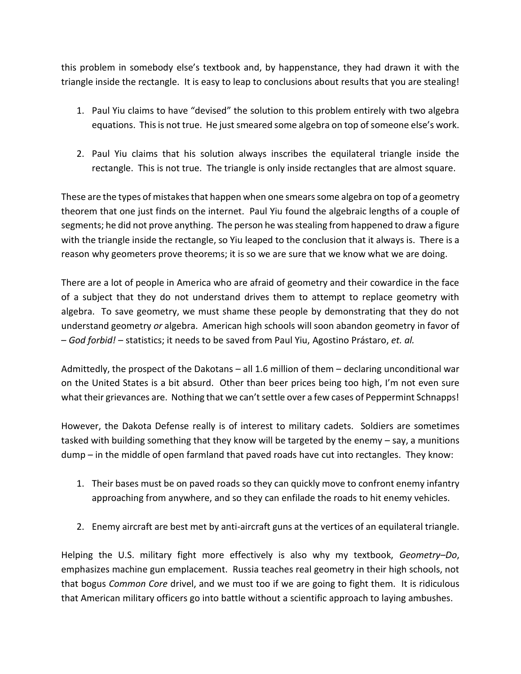this problem in somebody else's textbook and, by happenstance, they had drawn it with the triangle inside the rectangle. It is easy to leap to conclusions about results that you are stealing!

- 1. Paul Yiu claims to have "devised" the solution to this problem entirely with two algebra equations. This is not true. He just smeared some algebra on top of someone else's work.
- 2. Paul Yiu claims that his solution always inscribes the equilateral triangle inside the rectangle. This is not true. The triangle is only inside rectangles that are almost square.

These are the types of mistakes that happen when one smears some algebra on top of a geometry theorem that one just finds on the internet. Paul Yiu found the algebraic lengths of a couple of segments; he did not prove anything. The person he was stealing from happened to draw a figure with the triangle inside the rectangle, so Yiu leaped to the conclusion that it always is. There is a reason why geometers prove theorems; it is so we are sure that we know what we are doing.

There are a lot of people in America who are afraid of geometry and their cowardice in the face of a subject that they do not understand drives them to attempt to replace geometry with algebra. To save geometry, we must shame these people by demonstrating that they do not understand geometry *or* algebra. American high schools will soon abandon geometry in favor of – *God forbid!* – statistics; it needs to be saved from Paul Yiu, Agostino Prástaro, *et. al.*

Admittedly, the prospect of the Dakotans – all 1.6 million of them – declaring unconditional war on the United States is a bit absurd. Other than beer prices being too high, I'm not even sure what their grievances are. Nothing that we can't settle over a few cases of Peppermint Schnapps!

However, the Dakota Defense really is of interest to military cadets. Soldiers are sometimes tasked with building something that they know will be targeted by the enemy – say, a munitions dump – in the middle of open farmland that paved roads have cut into rectangles. They know:

- 1. Their bases must be on paved roads so they can quickly move to confront enemy infantry approaching from anywhere, and so they can enfilade the roads to hit enemy vehicles.
- 2. Enemy aircraft are best met by anti-aircraft guns at the vertices of an equilateral triangle.

Helping the U.S. military fight more effectively is also why my textbook, *Geometry–Do*, emphasizes machine gun emplacement. Russia teaches real geometry in their high schools, not that bogus *Common Core* drivel, and we must too if we are going to fight them. It is ridiculous that American military officers go into battle without a scientific approach to laying ambushes.